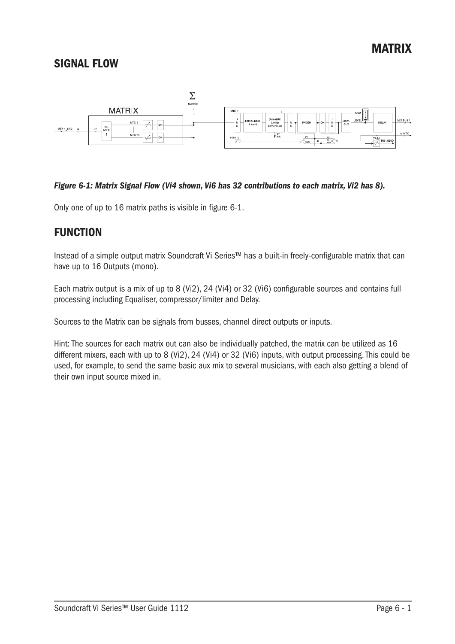# **MATRIX**

## SIGNAL FLOW



#### *Figure 6-1: Matrix Signal Flow (Vi4 shown, Vi6 has 32 contributions to each matrix, Vi2 has 8).*

Only one of up to 16 matrix paths is visible in figure 6-1.

### FUNCTION

Instead of a simple output matrix Soundcraft Vi Series™ has a built-in freely-configurable matrix that can have up to 16 Outputs (mono).

Each matrix output is a mix of up to 8 (Vi2), 24 (Vi4) or 32 (Vi6) configurable sources and contains full processing including Equaliser, compressor/limiter and Delay.

Sources to the Matrix can be signals from busses, channel direct outputs or inputs.

Hint: The sources for each matrix out can also be individually patched, the matrix can be utilized as 16 different mixers, each with up to 8 (Vi2), 24 (Vi4) or 32 (Vi6) inputs, with output processing. This could be used, for example, to send the same basic aux mix to several musicians, with each also getting a blend of their own input source mixed in.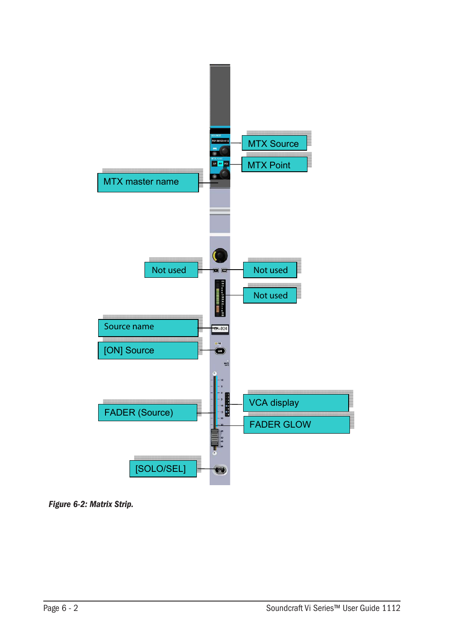

*Figure 6-2: Matrix Strip.*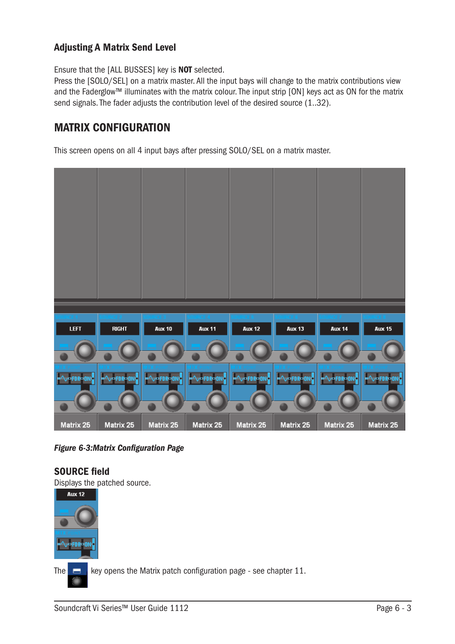### Adjusting A Matrix Send Level

Ensure that the [ALL BUSSES] key is NOT selected.

Press the [SOLO/SEL] on a matrix master. All the input bays will change to the matrix contributions view and the Faderglow™ illuminates with the matrix colour. The input strip [ON] keys act as ON for the matrix send signals. The fader adjusts the contribution level of the desired source (1..32).

## MATRIX CONFIGURATION

This screen opens on all 4 input bays after pressing SOLO/SEL on a matrix master.



*Figure 6-3:Matrix Configuration Page*

#### SOURCE field

Displays the patched source.



The  $\mathbb{R}$  key opens the Matrix patch configuration page - see chapter 11.